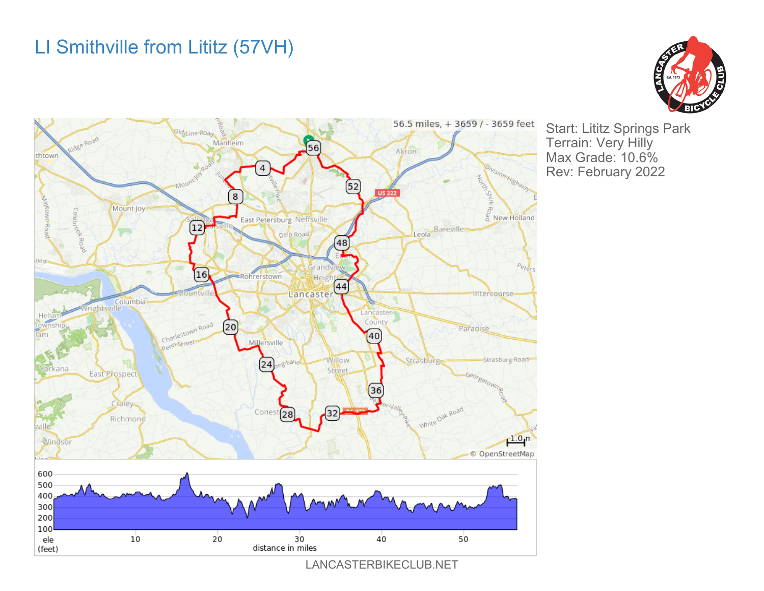## LI Smithville from Lititz (57VH)





Start: Lititz Springs Park Terrain: Very Hilly Max Grade: 10.6% Rev: February 2022

LANCASTERBIKECLUB.NET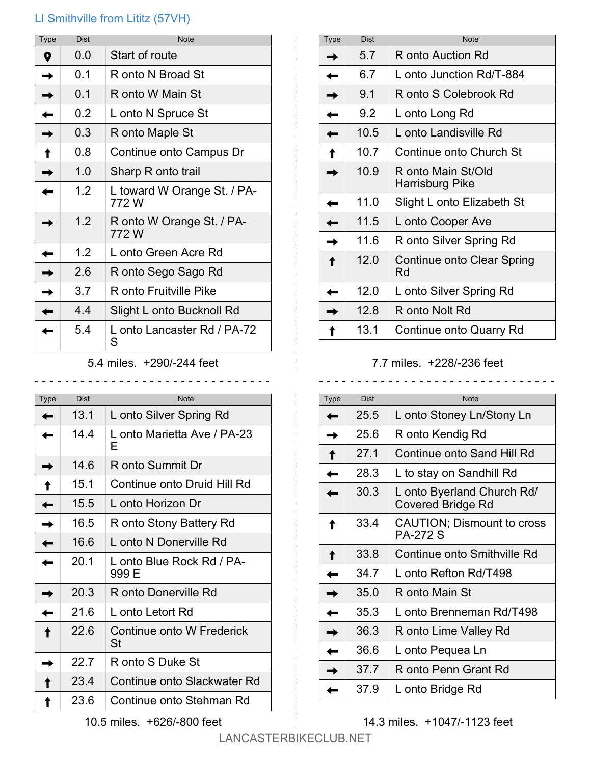## LI Smithville from Lititz (57VH)

| <b>Type</b> | <b>Dist</b> | <b>Note</b>                          |
|-------------|-------------|--------------------------------------|
| Q           | 0.0         | Start of route                       |
|             | 0.1         | R onto N Broad St                    |
|             | 0.1         | R onto W Main St                     |
|             | 0.2         | L onto N Spruce St                   |
|             | 0.3         | R onto Maple St                      |
|             | 0.8         | Continue onto Campus Dr              |
|             | 1.0         | Sharp R onto trail                   |
|             | 1.2         | L toward W Orange St. / PA-<br>772 W |
|             | 1.2         | R onto W Orange St. / PA-<br>772 W   |
|             | 1.2         | L onto Green Acre Rd                 |
|             | 2.6         | R onto Sego Sago Rd                  |
|             | 3.7         | R onto Fruitville Pike               |
|             | 4.4         | Slight L onto Bucknoll Rd            |
|             | 5.4         | L onto Lancaster Rd / PA-72<br>S     |

5.4 miles. +290/-244 feet

\_\_\_\_\_\_\_\_\_\_\_\_\_\_\_\_\_\_\_\_\_\_\_\_\_\_\_\_\_\_\_\_\_

| Type | Dist | <b>Note</b>                        |
|------|------|------------------------------------|
|      | 13.1 | L onto Silver Spring Rd            |
|      | 14.4 | L onto Marietta Ave / PA-23<br>Е   |
|      | 14.6 | R onto Summit Dr                   |
|      | 15.1 | Continue onto Druid Hill Rd        |
|      | 15.5 | L onto Horizon Dr                  |
|      | 16.5 | R onto Stony Battery Rd            |
|      | 16.6 | L onto N Donerville Rd             |
|      | 20.1 | L onto Blue Rock Rd / PA-<br>999 E |
|      | 20.3 | R onto Donerville Rd               |
|      | 21.6 | L onto Letort Rd                   |
|      | 22 6 | Continue onto W Frederick<br>St    |
|      | 22.7 | R onto S Duke St                   |
|      | 23.4 | Continue onto Slackwater Rd        |
|      | 23.6 | Continue onto Stehman Rd           |

| Type | <b>Dist</b> | <b>Note</b>                           |
|------|-------------|---------------------------------------|
|      | 5.7         | R onto Auction Rd                     |
|      | 6.7         | L onto Junction Rd/T-884              |
|      | 9.1         | R onto S Colebrook Rd                 |
|      | 9.2         | L onto Long Rd                        |
|      | 10.5        | L onto Landisville Rd                 |
|      | 10.7        | Continue onto Church St               |
|      | 10.9        | R onto Main St/Old<br>Harrisburg Pike |
|      | 11.0        | Slight L onto Elizabeth St            |
|      | 11.5        | L onto Cooper Ave                     |
|      | 11.6        | R onto Silver Spring Rd               |
|      | 12.0        | Continue onto Clear Spring<br>Rd      |
|      | 12.0        | L onto Silver Spring Rd               |
|      | 12.8        | R onto Nolt Rd                        |
|      | 13.1        | Continue onto Quarry Rd               |

## 7.7 miles. +228/-236 feet

| <b>Type</b> | <b>Dist</b> | <b>Note</b>                                     |
|-------------|-------------|-------------------------------------------------|
|             | 25.5        | L onto Stoney Ln/Stony Ln                       |
|             | 25.6        | R onto Kendig Rd                                |
|             | 27.1        | Continue onto Sand Hill Rd                      |
|             | 28.3        | L to stay on Sandhill Rd                        |
|             | 30.3        | L onto Byerland Church Rd/<br>Covered Bridge Rd |
|             | 33.4        | CAUTION; Dismount to cross<br><b>PA-272 S</b>   |
|             | 33.8        | Continue onto Smithville Rd                     |
|             | 34.7        | L onto Refton Rd/T498                           |
|             | 35.0        | R onto Main St                                  |
|             | 35.3        | L onto Brenneman Rd/T498                        |
|             | 36.3        | R onto Lime Valley Rd                           |
|             | 36.6        | L onto Pequea Ln                                |
|             | 37.7        | R onto Penn Grant Rd                            |
|             | 37.9        | L onto Bridge Rd                                |

14.3 miles. +1047/-1123 feet

 $\mathbf{1}$ 

10.5 miles. +626/-800 feet